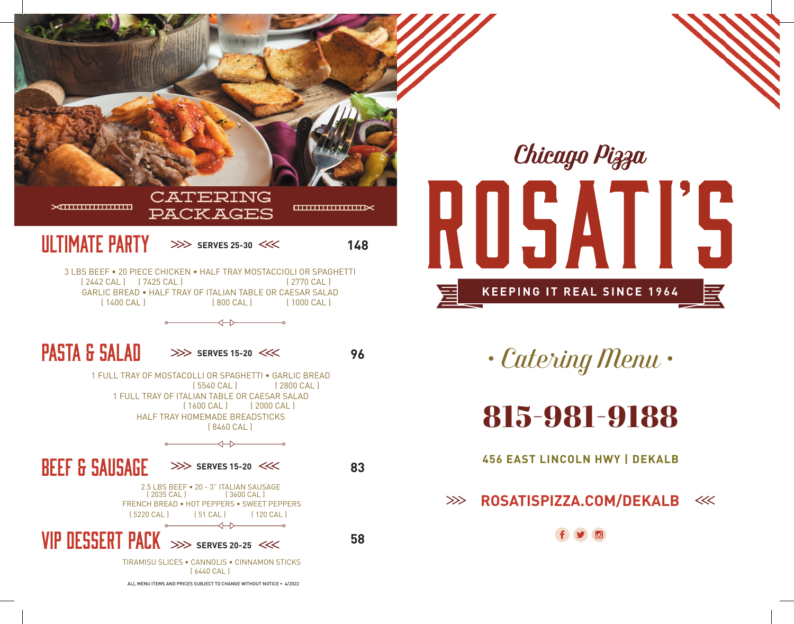